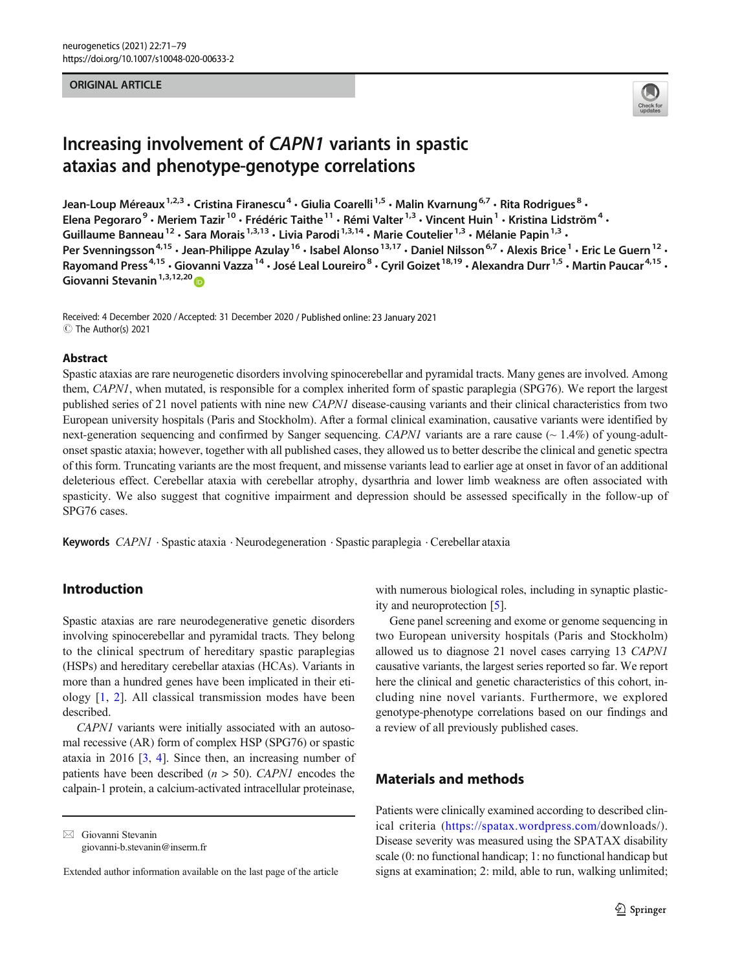#### ORIGINAL ARTICLE



# Increasing involvement of CAPN1 variants in spastic ataxias and phenotype-genotype correlations

Jean-Loup Méreaux<sup>1,2,3</sup> • Cristina Firanescu<sup>4</sup> • Giulia Coarelli<sup>1,5</sup> • Malin Kvarnung<sup>6,7</sup> • Rita Rodrigues<sup>8</sup> • Elena Pegoraro<sup>9</sup> • Meriem Tazir<sup>10</sup> • Frédéric Taithe<sup>11</sup> • Rémi Valter<sup>1,3</sup> • Vincent Huin<sup>1</sup> • Kristina Lidström<sup>4</sup> • Guillaume Banneau<sup>12</sup> · Sara Morais<sup>1,3,13</sup> · Livia Parodi<sup>1,3,14</sup> · Marie Coutelier<sup>1,3</sup> · Mélanie Papin<sup>1,3</sup> · Per Svenningsson<sup>4,15</sup> · Jean-Philippe Azulay<sup>16</sup> · Isabel Alonso<sup>13,17</sup> · Daniel Nilsson<sup>6,7</sup> · Alexis Brice<sup>1</sup> · Eric Le Guern<sup>12</sup> · Rayomand Press<sup>4,15</sup> • Giovanni Vazza<sup>14</sup> • José Leal Loureiro<sup>8</sup> • Cyril Goizet<sup>18,19</sup> • Alexandra Durr<sup>1,5</sup> • Martin Paucar<sup>4,15</sup> • Giovanni Stevanin<sup>1,3,12,20</sup>

Received: 4 December 2020 /Accepted: 31 December 2020 / Published online: 23 January 2021  $\circledcirc$  The Author(s) 2021

#### Abstract

Spastic ataxias are rare neurogenetic disorders involving spinocerebellar and pyramidal tracts. Many genes are involved. Among them, CAPN1, when mutated, is responsible for a complex inherited form of spastic paraplegia (SPG76). We report the largest published series of 21 novel patients with nine new CAPN1 disease-causing variants and their clinical characteristics from two European university hospitals (Paris and Stockholm). After a formal clinical examination, causative variants were identified by next-generation sequencing and confirmed by Sanger sequencing. CAPN1 variants are a rare cause  $(0.1.4\%)$  of young-adultonset spastic ataxia; however, together with all published cases, they allowed us to better describe the clinical and genetic spectra of this form. Truncating variants are the most frequent, and missense variants lead to earlier age at onset in favor of an additional deleterious effect. Cerebellar ataxia with cerebellar atrophy, dysarthria and lower limb weakness are often associated with spasticity. We also suggest that cognitive impairment and depression should be assessed specifically in the follow-up of SPG76 cases.

Keywords CAPN1 . Spastic ataxia . Neurodegeneration . Spastic paraplegia . Cerebellar ataxia

## Introduction

Spastic ataxias are rare neurodegenerative genetic disorders involving spinocerebellar and pyramidal tracts. They belong to the clinical spectrum of hereditary spastic paraplegias (HSPs) and hereditary cerebellar ataxias (HCAs). Variants in more than a hundred genes have been implicated in their etiology [\[1](#page-6-0), [2\]](#page-6-0). All classical transmission modes have been described.

CAPN1 variants were initially associated with an autosomal recessive (AR) form of complex HSP (SPG76) or spastic ataxia in 2016 [\[3](#page-6-0), [4](#page-6-0)]. Since then, an increasing number of patients have been described ( $n > 50$ ). CAPN1 encodes the calpain-1 protein, a calcium-activated intracellular proteinase,

 $\boxtimes$  Giovanni Stevanin [giovanni-b.stevanin@inserm.fr](mailto:giovanni-b.stevanin@inserm.fr) with numerous biological roles, including in synaptic plasticity and neuroprotection [[5](#page-6-0)].

Gene panel screening and exome or genome sequencing in two European university hospitals (Paris and Stockholm) allowed us to diagnose 21 novel cases carrying 13 CAPN1 causative variants, the largest series reported so far. We report here the clinical and genetic characteristics of this cohort, including nine novel variants. Furthermore, we explored genotype-phenotype correlations based on our findings and a review of all previously published cases.

## Materials and methods

Patients were clinically examined according to described clinical criteria ([https://spatax.wordpress.com/d](https://spatax.wordpress.com/)ownloads/). Disease severity was measured using the SPATAX disability scale (0: no functional handicap; 1: no functional handicap but signs at examination; 2: mild, able to run, walking unlimited;

Extended author information available on the last page of the article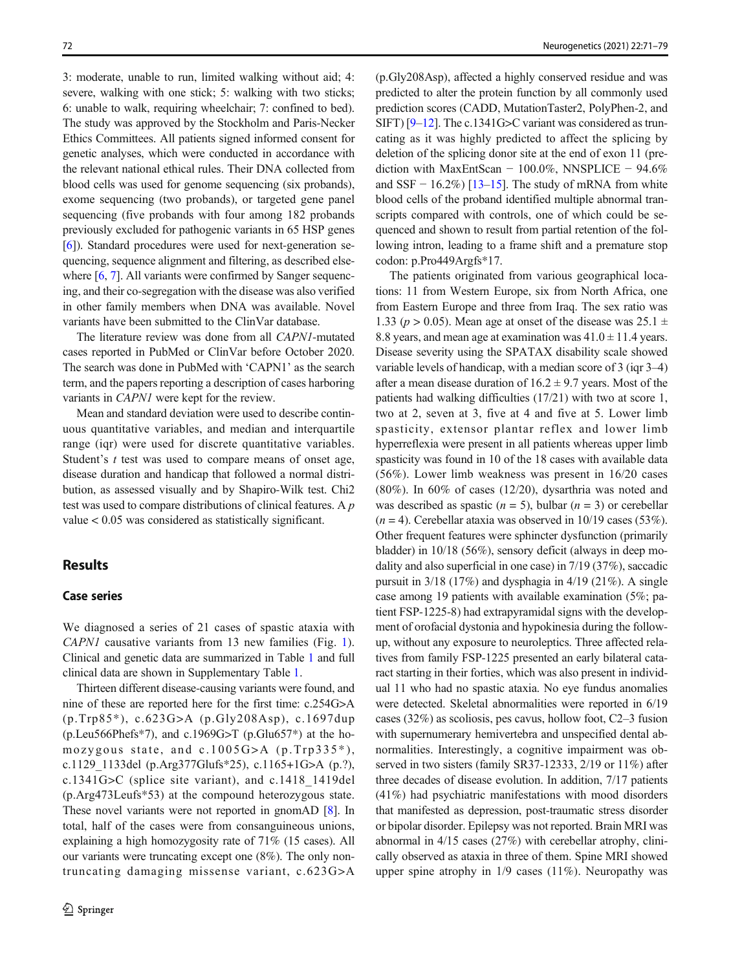3: moderate, unable to run, limited walking without aid; 4: severe, walking with one stick; 5: walking with two sticks; 6: unable to walk, requiring wheelchair; 7: confined to bed). The study was approved by the Stockholm and Paris-Necker Ethics Committees. All patients signed informed consent for genetic analyses, which were conducted in accordance with the relevant national ethical rules. Their DNA collected from blood cells was used for genome sequencing (six probands), exome sequencing (two probands), or targeted gene panel sequencing (five probands with four among 182 probands previously excluded for pathogenic variants in 65 HSP genes [\[6](#page-6-0)]). Standard procedures were used for next-generation sequencing, sequence alignment and filtering, as described else-where [\[6](#page-6-0), [7\]](#page-6-0). All variants were confirmed by Sanger sequencing, and their co-segregation with the disease was also verified in other family members when DNA was available. Novel variants have been submitted to the ClinVar database.

The literature review was done from all CAPN1-mutated cases reported in PubMed or ClinVar before October 2020. The search was done in PubMed with 'CAPN1' as the search term, and the papers reporting a description of cases harboring variants in CAPN1 were kept for the review.

Mean and standard deviation were used to describe continuous quantitative variables, and median and interquartile range (iqr) were used for discrete quantitative variables. Student's  $t$  test was used to compare means of onset age, disease duration and handicap that followed a normal distribution, as assessed visually and by Shapiro-Wilk test. Chi2 test was used to compare distributions of clinical features. A p value < 0.05 was considered as statistically significant.

## **Results**

## Case series

We diagnosed a series of 21 cases of spastic ataxia with CAPN1 causative variants from 13 new families (Fig. [1](#page-2-0)). Clinical and genetic data are summarized in Table [1](#page-3-0) and full clinical data are shown in Supplementary Table 1.

Thirteen different disease-causing variants were found, and nine of these are reported here for the first time: c.254G>A (p.Trp85\*), c.623G>A (p.Gly208Asp), c.1697dup  $(p. Leu566Phefs*7)$ , and  $c.1969G>T (p. Glu657*)$  at the homozygous state, and c.1005G>A (p.Trp335\*), c.1129\_1133del (p.Arg377Glufs\*25), c.1165+1G>A (p.?), c.1341G>C (splice site variant), and c.1418\_1419del (p.Arg473Leufs\*53) at the compound heterozygous state. These novel variants were not reported in gnomAD [[8\]](#page-6-0). In total, half of the cases were from consanguineous unions, explaining a high homozygosity rate of 71% (15 cases). All our variants were truncating except one (8%). The only nontruncating damaging missense variant, c.623G>A

(p.Gly208Asp), affected a highly conserved residue and was predicted to alter the protein function by all commonly used prediction scores (CADD, MutationTaster2, PolyPhen-2, and SIFT) [\[9](#page-6-0)–[12\]](#page-6-0). The c.1341G>C variant was considered as truncating as it was highly predicted to affect the splicing by deletion of the splicing donor site at the end of exon 11 (prediction with MaxEntScan − 100.0%, NNSPLICE − 94.6% and SSF  $-16.2\%$ ) [[13](#page-7-0)–[15](#page-7-0)]. The study of mRNA from white blood cells of the proband identified multiple abnormal transcripts compared with controls, one of which could be sequenced and shown to result from partial retention of the following intron, leading to a frame shift and a premature stop codon: p.Pro449Argfs\*17.

The patients originated from various geographical locations: 11 from Western Europe, six from North Africa, one from Eastern Europe and three from Iraq. The sex ratio was 1.33 ( $p > 0.05$ ). Mean age at onset of the disease was 25.1  $\pm$ 8.8 years, and mean age at examination was  $41.0 \pm 11.4$  years. Disease severity using the SPATAX disability scale showed variable levels of handicap, with a median score of 3 (iqr 3–4) after a mean disease duration of  $16.2 \pm 9.7$  years. Most of the patients had walking difficulties (17/21) with two at score 1, two at 2, seven at 3, five at 4 and five at 5. Lower limb spasticity, extensor plantar reflex and lower limb hyperreflexia were present in all patients whereas upper limb spasticity was found in 10 of the 18 cases with available data (56%). Lower limb weakness was present in 16/20 cases (80%). In 60% of cases (12/20), dysarthria was noted and was described as spastic ( $n = 5$ ), bulbar ( $n = 3$ ) or cerebellar  $(n = 4)$ . Cerebellar ataxia was observed in 10/19 cases (53%). Other frequent features were sphincter dysfunction (primarily bladder) in 10/18 (56%), sensory deficit (always in deep modality and also superficial in one case) in 7/19 (37%), saccadic pursuit in 3/18 (17%) and dysphagia in 4/19 (21%). A single case among 19 patients with available examination (5%; patient FSP-1225-8) had extrapyramidal signs with the development of orofacial dystonia and hypokinesia during the followup, without any exposure to neuroleptics. Three affected relatives from family FSP-1225 presented an early bilateral cataract starting in their forties, which was also present in individual 11 who had no spastic ataxia. No eye fundus anomalies were detected. Skeletal abnormalities were reported in 6/19 cases (32%) as scoliosis, pes cavus, hollow foot, C2–3 fusion with supernumerary hemivertebra and unspecified dental abnormalities. Interestingly, a cognitive impairment was observed in two sisters (family SR37-12333, 2/19 or 11%) after three decades of disease evolution. In addition, 7/17 patients (41%) had psychiatric manifestations with mood disorders that manifested as depression, post-traumatic stress disorder or bipolar disorder. Epilepsy was not reported. Brain MRI was abnormal in 4/15 cases (27%) with cerebellar atrophy, clinically observed as ataxia in three of them. Spine MRI showed upper spine atrophy in 1/9 cases (11%). Neuropathy was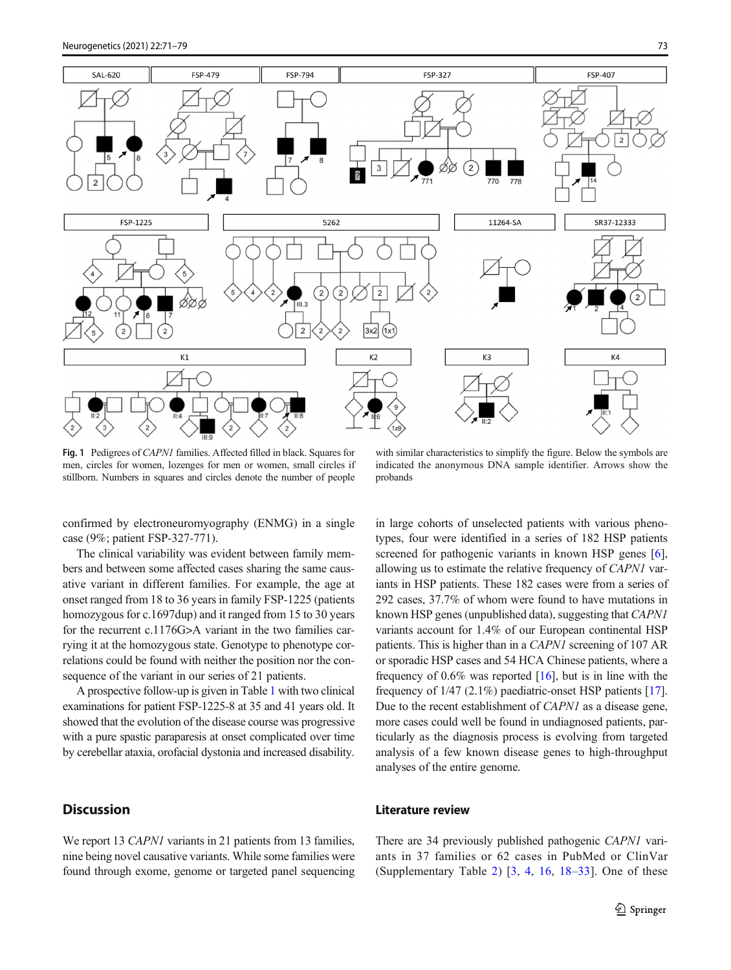<span id="page-2-0"></span>

Fig. 1 Pedigrees of CAPN1 families. Affected filled in black. Squares for men, circles for women, lozenges for men or women, small circles if stillborn. Numbers in squares and circles denote the number of people

with similar characteristics to simplify the figure. Below the symbols are indicated the anonymous DNA sample identifier. Arrows show the probands

confirmed by electroneuromyography (ENMG) in a single case (9%; patient FSP-327-771).

The clinical variability was evident between family members and between some affected cases sharing the same causative variant in different families. For example, the age at onset ranged from 18 to 36 years in family FSP-1225 (patients homozygous for c.1697dup) and it ranged from 15 to 30 years for the recurrent c.1176G>A variant in the two families carrying it at the homozygous state. Genotype to phenotype correlations could be found with neither the position nor the consequence of the variant in our series of 21 patients.

A prospective follow-up is given in Table [1](#page-3-0) with two clinical examinations for patient FSP-1225-8 at 35 and 41 years old. It showed that the evolution of the disease course was progressive with a pure spastic paraparesis at onset complicated over time by cerebellar ataxia, orofacial dystonia and increased disability.

# **Discussion**

We report 13 CAPN1 variants in 21 patients from 13 families, nine being novel causative variants. While some families were found through exome, genome or targeted panel sequencing in large cohorts of unselected patients with various phenotypes, four were identified in a series of 182 HSP patients screened for pathogenic variants in known HSP genes [[6\]](#page-6-0), allowing us to estimate the relative frequency of CAPN1 variants in HSP patients. These 182 cases were from a series of 292 cases, 37.7% of whom were found to have mutations in known HSP genes (unpublished data), suggesting that CAPN1 variants account for 1.4% of our European continental HSP patients. This is higher than in a CAPN1 screening of 107 AR or sporadic HSP cases and 54 HCA Chinese patients, where a frequency of  $0.6\%$  was reported [[16](#page-7-0)], but is in line with the frequency of 1/47 (2.1%) paediatric-onset HSP patients [[17\]](#page-7-0). Due to the recent establishment of CAPN1 as a disease gene, more cases could well be found in undiagnosed patients, particularly as the diagnosis process is evolving from targeted analysis of a few known disease genes to high-throughput analyses of the entire genome.

#### Literature review

There are 34 previously published pathogenic CAPN1 variants in 37 families or 62 cases in PubMed or ClinVar (Supplementary Table 2)  $\left[3, 4, 16, 18-33\right]$  $\left[3, 4, 16, 18-33\right]$  $\left[3, 4, 16, 18-33\right]$  $\left[3, 4, 16, 18-33\right]$  $\left[3, 4, 16, 18-33\right]$  $\left[3, 4, 16, 18-33\right]$  $\left[3, 4, 16, 18-33\right]$  $\left[3, 4, 16, 18-33\right]$  $\left[3, 4, 16, 18-33\right]$  $\left[3, 4, 16, 18-33\right]$  $\left[3, 4, 16, 18-33\right]$ . One of these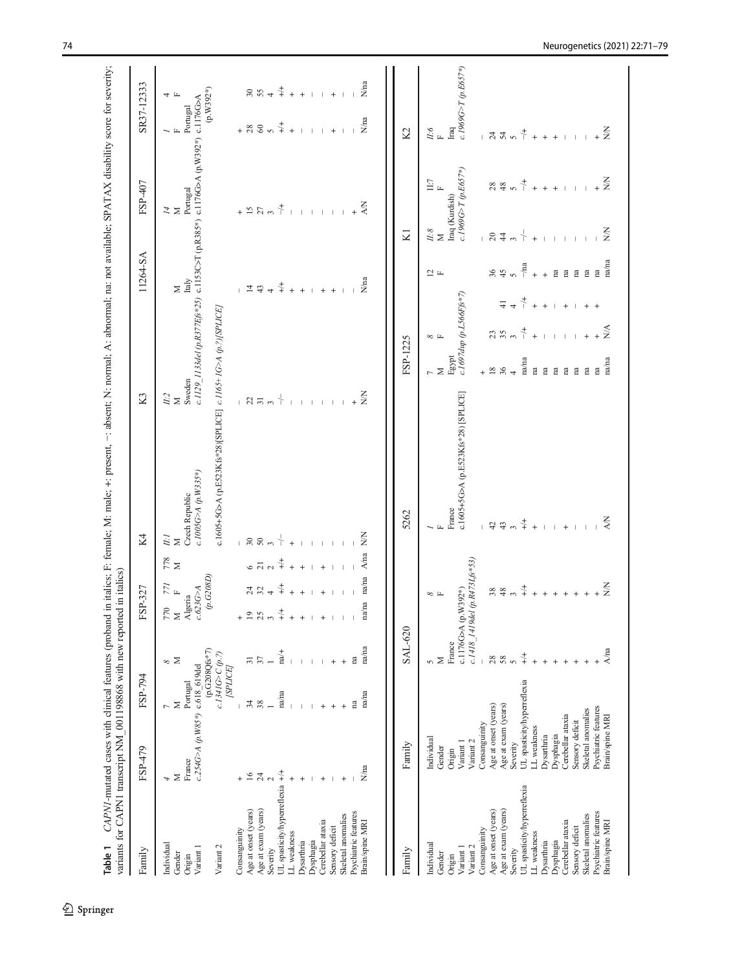| Family                                      | FSP-794<br>FSP-479                                                                             |                                       | FSP-327                                                                         |                          | K4                                                                   | K <sub>3</sub>       |                                                              |                             | 11264-SA        |                                  | FSP-407                                                                                     |                          | SR37-12333                  |
|---------------------------------------------|------------------------------------------------------------------------------------------------|---------------------------------------|---------------------------------------------------------------------------------|--------------------------|----------------------------------------------------------------------|----------------------|--------------------------------------------------------------|-----------------------------|-----------------|----------------------------------|---------------------------------------------------------------------------------------------|--------------------------|-----------------------------|
| Individual<br>Variant 1<br>Gender<br>Origin | $c.254G > A (p. W85*)$ $c.618 - 619$ del<br>Portugal<br>$\sim \Sigma$<br>France<br>$\geq$<br>4 | (p.G208Qfs*7)<br>∞ ⊠                  | (p.G208D)<br>$\frac{1}{2}$ $\mu$<br>c.623G > A<br>Algeria<br>$\gtrsim$ $\times$ | $_{\rm 2.78}^{\rm 2.78}$ | $c.1005G$ A $(p.W335*)$<br>Czech Republic<br>$\tilde{H}$ $\tilde{H}$ | Sweden<br>$^{L:2}_M$ |                                                              | Italy<br>$\geq$             |                 | $\stackrel{\textstyle{1}}{\sim}$ | c.1129 1133del (p.R377Efs*25) c.1153C>T (p.R385*) c.1176G>A (p.W392*) c.1176G>A<br>Portugal | Portugal<br>$\mathbf{L}$ | $(p.W.392*)$<br>4 F         |
| Variant 2                                   |                                                                                                | $c.1341G>C(p?)$<br>[SPLICE]           |                                                                                 |                          | c.1605+5G>A (p.E523Kfs*28)[SPLICE] c.1165+1G>A (p.?)[SPLICE]         |                      |                                                              |                             |                 |                                  |                                                                                             |                          |                             |
| Consanguinity                               |                                                                                                |                                       |                                                                                 |                          |                                                                      |                      |                                                              |                             |                 |                                  |                                                                                             |                          |                             |
| Age at onset (years)                        | $34$                                                                                           | $\overline{31}$                       | $+$ $\frac{\circ}{\cdot}$                                                       | $6\overline{2}$          |                                                                      |                      |                                                              | $\frac{1}{4}$ $\frac{4}{4}$ |                 |                                  |                                                                                             |                          |                             |
| Age at exam (years)<br>Severity             | 38<br>$\overline{24}$                                                                          |                                       | $\frac{4}{3}$ $\frac{4}{3}$<br>25<br>$\epsilon \gamma$                          | $\sim$                   | $-3000$                                                              | $-27.55$             |                                                              | $\rightarrow$               |                 | $+ 57$                           |                                                                                             | $+ 88$                   | $\frac{2}{3}$ $\frac{5}{4}$ |
| UL spasticity/hyperreflexia                 | na/na<br>$\ddagger$                                                                            | $na/+$                                | $\ddot{+}$<br>$\ddagger$                                                        | $+/-$                    | ╬                                                                    | $\downarrow$         |                                                              | $\stackrel{+}{+}$           |                 | $\ddagger$                       |                                                                                             | $\ddagger$               | $\stackrel{+}{\rightarrow}$ |
| LL weakness                                 |                                                                                                |                                       | $\ddot{}$<br>$^{+}$                                                             | $\ddot{}$                |                                                                      |                      |                                                              | $\ddot{+}$                  |                 |                                  |                                                                                             | $\ddot{+}$               | $\ddot{+}$                  |
| Dysarthria                                  |                                                                                                |                                       | $\ddot{}$<br>$^{+}$                                                             | $\ddot{}$                |                                                                      |                      |                                                              | $\overline{+}$              |                 |                                  |                                                                                             |                          | $\ddot{+}$                  |
| Dysphagia                                   |                                                                                                |                                       |                                                                                 |                          |                                                                      |                      |                                                              |                             |                 |                                  |                                                                                             |                          |                             |
| Cerebellar ataxia                           | $\,{}^{+}\,$                                                                                   |                                       | $\ddot{}$<br>$^{+}$                                                             | $\overline{+}$           |                                                                      |                      |                                                              | $\ddot{}$                   |                 |                                  |                                                                                             |                          |                             |
| Sensory deficit                             |                                                                                                | $\ddot{}$                             |                                                                                 |                          |                                                                      | $\mathbb T$          |                                                              | $\ddot{}$                   |                 |                                  |                                                                                             | $+$                      | $\ddot{}$                   |
| Skeletal anomalies                          | $^{+}$                                                                                         | $^{+}$                                |                                                                                 |                          |                                                                      |                      |                                                              |                             |                 |                                  |                                                                                             |                          |                             |
| Psychiatric features                        | na                                                                                             | na                                    |                                                                                 |                          |                                                                      |                      |                                                              |                             |                 |                                  |                                                                                             |                          |                             |
| Brain/spine MRI                             | na/na<br>N/na                                                                                  | na/na                                 | na/na<br>na/na                                                                  | A/na                     | $\frac{1}{2}$                                                        | $\sum_{i=1}^{n}$     |                                                              |                             | N/na            | <b>XX</b>                        |                                                                                             | $N$ na                   | N/na                        |
| Family                                      | Family                                                                                         | <b>SAL-620</b>                        |                                                                                 |                          | 5262                                                                 |                      | FSP-1225                                                     |                             |                 | KI                               |                                                                                             | K2                       |                             |
| Individual                                  | Individual                                                                                     | 5                                     |                                                                                 |                          |                                                                      |                      |                                                              |                             |                 |                                  |                                                                                             |                          |                             |
| Gender                                      | Gender                                                                                         | Σ                                     | $\infty$ H                                                                      |                          |                                                                      | $\geq$               | $\infty$ $\mathbb{H}$                                        |                             | $\frac{1}{2}$ H | $^{L.8}_M$                       | $\Xi$ $_{\rm F}$                                                                            | $\frac{H\cdot\delta}{F}$ |                             |
| Origin                                      | Origin                                                                                         | France                                |                                                                                 |                          | France                                                               | Egypt                |                                                              |                             |                 | Iraq (Kurdish)                   |                                                                                             | Iraq                     |                             |
| Variant 2<br>Variant 1                      | Variant 2<br>Variant 1                                                                         |                                       | c.1418_1419del (p.R473Lfs*53)<br>c.1176G>A (p.W392*)                            |                          | c.1605+5G>A (p.E523Kfs*28) [SPLICE]                                  |                      | c.1697dup (p.L566Ffs*7)                                      |                             |                 |                                  | $c.1969G\text{~}T(p.E657*)$                                                                 |                          | c.1969G>T (p.E657*)         |
| Consanguinity                               | Consanguinity                                                                                  | $\begin{array}{c} \hline \end{array}$ |                                                                                 |                          |                                                                      |                      |                                                              |                             |                 |                                  |                                                                                             |                          |                             |
| Age at onset (years)                        | Age at onset (years)                                                                           | $28\,$                                |                                                                                 |                          | $42\,$                                                               | 18                   |                                                              |                             | 86              | 184 <sup>2</sup>                 |                                                                                             | $-7400$                  |                             |
| Age at exam (years)                         | Age at exam (years)                                                                            | 58                                    | $\frac{8}{4}$ $\frac{8}{2}$                                                     |                          | $43\,$                                                               | 36                   |                                                              | $\pm$                       |                 |                                  |                                                                                             |                          |                             |
| Severity                                    | Severity                                                                                       | $\sigma$                              |                                                                                 |                          | $\epsilon$                                                           |                      | $\begin{array}{c} 25 & 25 \\ 25 & 25 \\ 25 & 25 \end{array}$ | $\downarrow$ $\downarrow$   |                 |                                  |                                                                                             |                          |                             |
| UL spasticity/hyperreflexia                 | UL spasticity/hyperreflexia                                                                    | $\ddagger$                            | $\stackrel{+}{\rightarrow}$                                                     |                          | $\stackrel{+}{\rightarrow}$                                          | na/na                |                                                              |                             | $-\ln a$        | $\frac{1}{\Gamma}$               |                                                                                             | $\ddagger$               |                             |
| LL weakness                                 | LL weakness                                                                                    |                                       | $+$                                                                             |                          | $\ddot{}$                                                            | $\mathbf{a}$         | $\ddot{+}$                                                   | $+ +$                       | $\ddot{+}$      | $\ddot{+}$                       |                                                                                             | $\ddot{+}$               |                             |
| Dysarthria                                  | Dysarthria                                                                                     |                                       | $+$                                                                             |                          |                                                                      | $\mathbf{a}$         |                                                              |                             | $\ddot{+}$      |                                  |                                                                                             | $+ +$                    |                             |
| Dysphagia                                   | Dysphagia                                                                                      |                                       | $+$                                                                             |                          |                                                                      | $\mathbf{a}$         | $\perp$                                                      | $\mathbf{I}$                | $\mathbf{B}$    |                                  |                                                                                             |                          |                             |
| Cerebellar ataxia                           | Cerebellar ataxia                                                                              |                                       |                                                                                 |                          |                                                                      | na                   |                                                              | $\ddot{}$                   | $\mathbf{B}$    |                                  |                                                                                             |                          |                             |
| Sensory deficit                             | Sensory deficit                                                                                |                                       |                                                                                 |                          |                                                                      | $\mathbf{n}$         |                                                              |                             | $\mathbf{B}$    |                                  |                                                                                             |                          |                             |
| Skeletal anomalies                          | Skeletal anomalies                                                                             |                                       |                                                                                 |                          |                                                                      | $\mathbf{n}$         |                                                              |                             | g g             |                                  |                                                                                             |                          |                             |
| Psychiatric features<br>Brain/spine MRI     | Psychiatric features<br>Brain/spine MRI                                                        | A/na                                  | $\frac{Z}{Z}$                                                                   |                          | <b>Z</b>                                                             | na/na<br>fa          | $\sum_{i=1}^{n}$                                             |                             | na/na           | $\sum_{i=1}^{n}$                 | $+\frac{z}{z}$                                                                              | $\sum_{i=1}^{n}$         |                             |
|                                             |                                                                                                |                                       |                                                                                 |                          |                                                                      |                      |                                                              |                             |                 |                                  |                                                                                             |                          |                             |

<span id="page-3-0"></span>-: absent: N: normal: A: abnormal: na: not available: SPATAX disability score for severity. Table 1 CAPN1-mutated cases with clinical features (proband in italics; F: female; M: male; +: present, −: absent; N: normal; A: abnormal; na: not available; SPATAX disability score for severity;  $\overline{a}$ **Table 1** CAPN1-mutated cases with clinical features (proband in italics: F: female: M: male: +: pres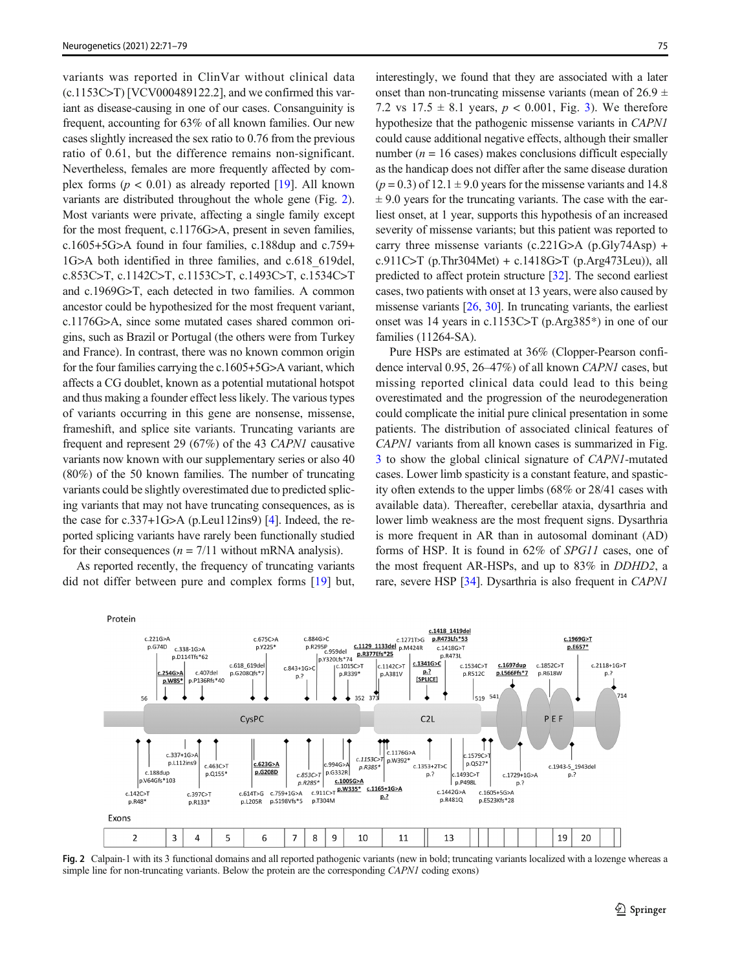variants was reported in ClinVar without clinical data  $(c.1153C>T)$  [VCV000489122.2], and we confirmed this variant as disease-causing in one of our cases. Consanguinity is frequent, accounting for 63% of all known families. Our new cases slightly increased the sex ratio to 0.76 from the previous ratio of 0.61, but the difference remains non-significant. Nevertheless, females are more frequently affected by complex forms ( $p < 0.01$ ) as already reported [[19\]](#page-7-0). All known variants are distributed throughout the whole gene (Fig. 2). Most variants were private, affecting a single family except for the most frequent, c.1176G>A, present in seven families, c.1605+5G>A found in four families, c.188dup and c.759+ 1G>A both identified in three families, and c.618\_619del, c.853C>T, c.1142C>T, c.1153C>T, c.1493C>T, c.1534C>T and c.1969G>T, each detected in two families. A common ancestor could be hypothesized for the most frequent variant, c.1176G>A, since some mutated cases shared common origins, such as Brazil or Portugal (the others were from Turkey and France). In contrast, there was no known common origin for the four families carrying the c.1605+5G>A variant, which affects a CG doublet, known as a potential mutational hotspot and thus making a founder effect less likely. The various types of variants occurring in this gene are nonsense, missense, frameshift, and splice site variants. Truncating variants are frequent and represent 29 (67%) of the 43 CAPN1 causative variants now known with our supplementary series or also 40 (80%) of the 50 known families. The number of truncating variants could be slightly overestimated due to predicted splicing variants that may not have truncating consequences, as is the case for c.337+1G>A (p.Leu112ins9) [[4\]](#page-6-0). Indeed, the reported splicing variants have rarely been functionally studied for their consequences ( $n = 7/11$  without mRNA analysis).

As reported recently, the frequency of truncating variants did not differ between pure and complex forms [[19\]](#page-7-0) but,

interestingly, we found that they are associated with a later onset than non-truncating missense variants (mean of  $26.9 \pm$ 7.2 vs  $17.5 \pm 8.1$  years,  $p < 0.001$ , Fig. [3](#page-5-0)). We therefore hypothesize that the pathogenic missense variants in CAPN1 could cause additional negative effects, although their smaller number ( $n = 16$  cases) makes conclusions difficult especially as the handicap does not differ after the same disease duration  $(p = 0.3)$  of 12.1  $\pm$  9.0 years for the missense variants and 14.8  $\pm$  9.0 years for the truncating variants. The case with the earliest onset, at 1 year, supports this hypothesis of an increased severity of missense variants; but this patient was reported to carry three missense variants (c.221G>A (p.Gly74Asp) + c.911C>T (p.Thr304Met) + c.1418G>T (p.Arg473Leu)), all predicted to affect protein structure [\[32](#page-7-0)]. The second earliest cases, two patients with onset at 13 years, were also caused by missense variants [\[26](#page-7-0), [30](#page-7-0)]. In truncating variants, the earliest onset was 14 years in c.1153C>T (p.Arg385\*) in one of our families (11264-SA).

Pure HSPs are estimated at 36% (Clopper-Pearson confidence interval 0.95, 26–47%) of all known CAPN1 cases, but missing reported clinical data could lead to this being overestimated and the progression of the neurodegeneration could complicate the initial pure clinical presentation in some patients. The distribution of associated clinical features of CAPN1 variants from all known cases is summarized in Fig. [3](#page-5-0) to show the global clinical signature of CAPN1-mutated cases. Lower limb spasticity is a constant feature, and spasticity often extends to the upper limbs (68% or 28/41 cases with available data). Thereafter, cerebellar ataxia, dysarthria and lower limb weakness are the most frequent signs. Dysarthria is more frequent in AR than in autosomal dominant (AD) forms of HSP. It is found in 62% of SPG11 cases, one of the most frequent AR-HSPs, and up to 83% in DDHD2, a rare, severe HSP [\[34](#page-7-0)]. Dysarthria is also frequent in CAPN1



Fig. 2 Calpain-1 with its 3 functional domains and all reported pathogenic variants (new in bold; truncating variants localized with a lozenge whereas a simple line for non-truncating variants. Below the protein are the corresponding *CAPN1* coding exons)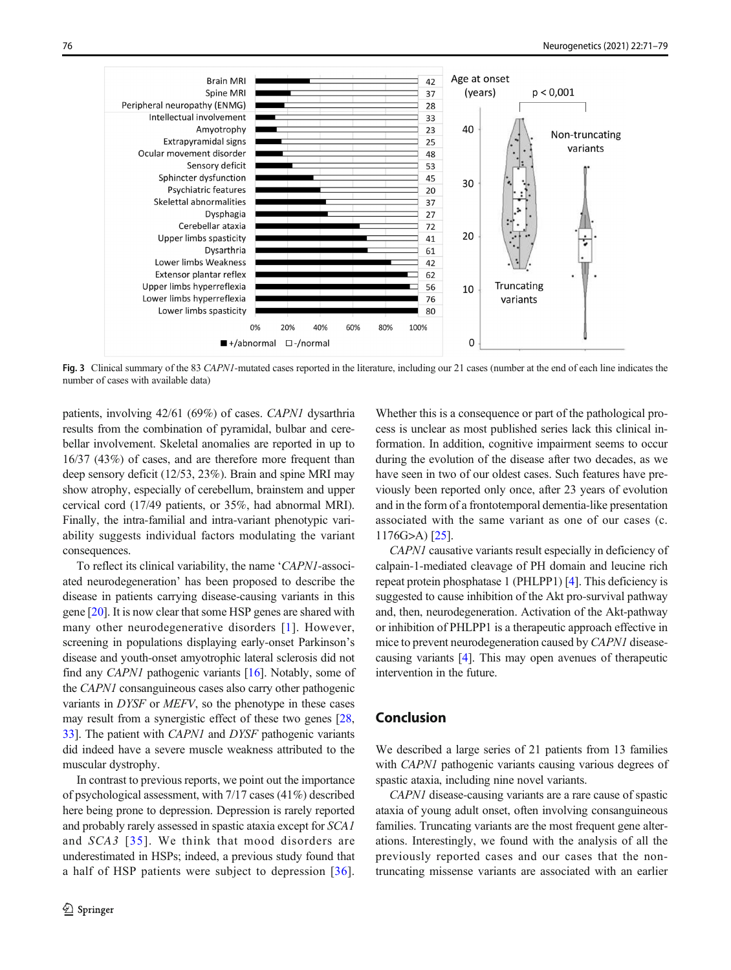<span id="page-5-0"></span>

Fig. 3 Clinical summary of the 83 CAPNI-mutated cases reported in the literature, including our 21 cases (number at the end of each line indicates the number of cases with available data)

patients, involving 42/61 (69%) of cases. CAPN1 dysarthria results from the combination of pyramidal, bulbar and cerebellar involvement. Skeletal anomalies are reported in up to 16/37 (43%) of cases, and are therefore more frequent than deep sensory deficit (12/53, 23%). Brain and spine MRI may show atrophy, especially of cerebellum, brainstem and upper cervical cord (17/49 patients, or 35%, had abnormal MRI). Finally, the intra-familial and intra-variant phenotypic variability suggests individual factors modulating the variant consequences.

To reflect its clinical variability, the name 'CAPN1-associated neurodegeneration' has been proposed to describe the disease in patients carrying disease-causing variants in this gene [[20](#page-7-0)]. It is now clear that some HSP genes are shared with many other neurodegenerative disorders [[1\]](#page-6-0). However, screening in populations displaying early-onset Parkinson's disease and youth-onset amyotrophic lateral sclerosis did not find any *CAPN1* pathogenic variants  $[16]$ . Notably, some of the CAPN1 consanguineous cases also carry other pathogenic variants in DYSF or MEFV, so the phenotype in these cases may result from a synergistic effect of these two genes [[28,](#page-7-0) [33\]](#page-7-0). The patient with CAPN1 and DYSF pathogenic variants did indeed have a severe muscle weakness attributed to the muscular dystrophy.

In contrast to previous reports, we point out the importance of psychological assessment, with 7/17 cases (41%) described here being prone to depression. Depression is rarely reported and probably rarely assessed in spastic ataxia except for SCA1 and SCA3 [[35](#page-7-0)]. We think that mood disorders are underestimated in HSPs; indeed, a previous study found that a half of HSP patients were subject to depression [[36](#page-7-0)].

Whether this is a consequence or part of the pathological process is unclear as most published series lack this clinical information. In addition, cognitive impairment seems to occur during the evolution of the disease after two decades, as we have seen in two of our oldest cases. Such features have previously been reported only once, after 23 years of evolution and in the form of a frontotemporal dementia-like presentation associated with the same variant as one of our cases (c. 1176G>A) [\[25](#page-7-0)].

CAPN1 causative variants result especially in deficiency of calpain-1-mediated cleavage of PH domain and leucine rich repeat protein phosphatase 1 (PHLPP1) [[4](#page-6-0)]. This deficiency is suggested to cause inhibition of the Akt pro-survival pathway and, then, neurodegeneration. Activation of the Akt-pathway or inhibition of PHLPP1 is a therapeutic approach effective in mice to prevent neurodegeneration caused by CAPN1 diseasecausing variants [[4\]](#page-6-0). This may open avenues of therapeutic intervention in the future.

## Conclusion

We described a large series of 21 patients from 13 families with *CAPN1* pathogenic variants causing various degrees of spastic ataxia, including nine novel variants.

CAPN1 disease-causing variants are a rare cause of spastic ataxia of young adult onset, often involving consanguineous families. Truncating variants are the most frequent gene alterations. Interestingly, we found with the analysis of all the previously reported cases and our cases that the nontruncating missense variants are associated with an earlier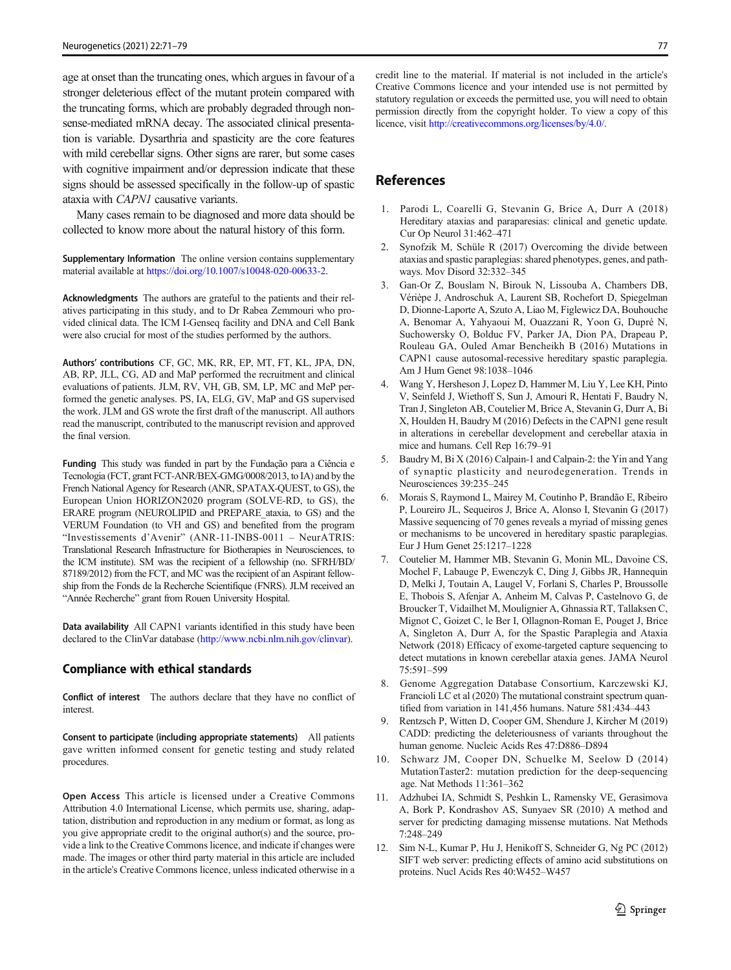<span id="page-6-0"></span>age at onset than the truncating ones, which argues in favour of a stronger deleterious effect of the mutant protein compared with the truncating forms, which are probably degraded through nonsense-mediated mRNA decay. The associated clinical presentation is variable. Dysarthria and spasticity are the core features with mild cerebellar signs. Other signs are rarer, but some cases with cognitive impairment and/or depression indicate that these signs should be assessed specifically in the follow-up of spastic ataxia with CAPN1 causative variants.

Many cases remain to be diagnosed and more data should be collected to know more about the natural history of this form.

Supplementary Information The online version contains supplementary material available at [https://doi.org/10.1007/s10048-020-00633-2](http://www.ncbi.nlm.nih.gov/clinvar).

Acknowledgments The authors are grateful to the patients and their relatives participating in this study, and to Dr Rabea Zemmouri who provided clinical data. The ICM I-Genseq facility and DNA and Cell Bank were also crucial for most of the studies performed by the authors.

Authors' contributions CF, GC, MK, RR, EP, MT, FT, KL, JPA, DN, AB, RP, JLL, CG, AD and MaP performed the recruitment and clinical evaluations of patients. JLM, RV, VH, GB, SM, LP, MC and MeP performed the genetic analyses. PS, IA, ELG, GV, MaP and GS supervised the work. JLM and GS wrote the first draft of the manuscript. All authors read the manuscript, contributed to the manuscript revision and approved the final version.

Funding This study was funded in part by the Fundação para a Ciência e Tecnologia (FCT, grant FCT-ANR/BEX-GMG/0008/2013, to IA) and by the French National Agency for Research (ANR, SPATAX-QUEST, to GS), the European Union HORIZON2020 program (SOLVE-RD, to GS), the ERARE program (NEUROLIPID and PREPARE\_ataxia, to GS) and the VERUM Foundation (to VH and GS) and benefited from the program "Investissements d'Avenir" (ANR-11-INBS-0011 – NeurATRIS: Translational Research Infrastructure for Biotherapies in Neurosciences, to the ICM institute). SM was the recipient of a fellowship (no. SFRH/BD/ 87189/2012) from the FCT, and MC wasthe recipient of an Aspirant fellowship from the Fonds de la Recherche Scientifique (FNRS). JLM received an "Année Recherche" grant from Rouen University Hospital.

Data availability All CAPN1 variants identified in this study have been declared to the ClinVar database [\(http://www.ncbi.nlm.nih.gov/clinvar\)](http://www.ncbi.nlm.nih.gov/clinvar).

#### Compliance with ethical standards

Conflict of interest The authors declare that they have no conflict of interest.

Consent to participate (including appropriate statements) All patients gave written informed consent for genetic testing and study related procedures.

Open Access This article is licensed under a Creative Commons Attribution 4.0 International License, which permits use, sharing, adaptation, distribution and reproduction in any medium or format, as long as you give appropriate credit to the original author(s) and the source, provide a link to the Creative Commons licence, and indicate if changes were made. The images or other third party material in this article are included in the article's Creative Commons licence, unless indicated otherwise in a credit line to the material. If material is not included in the article's Creative Commons licence and your intended use is not permitted by statutory regulation or exceeds the permitted use, you will need to obtain permission directly from the copyright holder. To view a copy of this licence, visit [http://creativecommons.org/licenses/by/4.0/](https://doi.org/).

## **References**

- 1. Parodi L, Coarelli G, Stevanin G, Brice A, Durr A (2018) Hereditary ataxias and paraparesias: clinical and genetic update. Cur Op Neurol 31:462–471
- 2. Synofzik M, Schüle R (2017) Overcoming the divide between ataxias and spastic paraplegias: shared phenotypes, genes, and pathways. Mov Disord 32:332–345
- 3. Gan-Or Z, Bouslam N, Birouk N, Lissouba A, Chambers DB, Vérièpe J, Androschuk A, Laurent SB, Rochefort D, Spiegelman D, Dionne-Laporte A, Szuto A, Liao M, Figlewicz DA, Bouhouche A, Benomar A, Yahyaoui M, Ouazzani R, Yoon G, Dupré N, Suchowersky O, Bolduc FV, Parker JA, Dion PA, Drapeau P, Rouleau GA, Ouled Amar Bencheikh B (2016) Mutations in CAPN1 cause autosomal-recessive hereditary spastic paraplegia. Am J Hum Genet 98:1038–1046
- 4. Wang Y, Hersheson J, Lopez D, Hammer M, Liu Y, Lee KH, Pinto V, Seinfeld J, Wiethoff S, Sun J, Amouri R, Hentati F, Baudry N, Tran J, Singleton AB, Coutelier M, Brice A, Stevanin G, Durr A, Bi X, Houlden H, Baudry M (2016) Defects in the CAPN1 gene result in alterations in cerebellar development and cerebellar ataxia in mice and humans. Cell Rep 16:79–91
- 5. Baudry M, Bi X (2016) Calpain-1 and Calpain-2: the Yin and Yang of synaptic plasticity and neurodegeneration. Trends in Neurosciences 39:235–245
- 6. Morais S, Raymond L, Mairey M, Coutinho P, Brandão E, Ribeiro P, Loureiro JL, Sequeiros J, Brice A, Alonso I, Stevanin G (2017) Massive sequencing of 70 genes reveals a myriad of missing genes or mechanisms to be uncovered in hereditary spastic paraplegias. Eur J Hum Genet 25:1217–1228
- 7. Coutelier M, Hammer MB, Stevanin G, Monin ML, Davoine CS, Mochel F, Labauge P, Ewenczyk C, Ding J, Gibbs JR, Hannequin D, Melki J, Toutain A, Laugel V, Forlani S, Charles P, Broussolle E, Thobois S, Afenjar A, Anheim M, Calvas P, Castelnovo G, de Broucker T, Vidailhet M, Moulignier A, Ghnassia RT, Tallaksen C, Mignot C, Goizet C, le Ber I, Ollagnon-Roman E, Pouget J, Brice A, Singleton A, Durr A, for the Spastic Paraplegia and Ataxia Network (2018) Efficacy of exome-targeted capture sequencing to detect mutations in known cerebellar ataxia genes. JAMA Neurol 75:591–599
- 8. Genome Aggregation Database Consortium, Karczewski KJ, Francioli LC et al (2020) The mutational constraint spectrum quantified from variation in 141,456 humans. Nature 581:434–443
- 9. Rentzsch P, Witten D, Cooper GM, Shendure J, Kircher M (2019) CADD: predicting the deleteriousness of variants throughout the human genome. Nucleic Acids Res 47:D886–D894
- 10. Schwarz JM, Cooper DN, Schuelke M, Seelow D (2014) MutationTaster2: mutation prediction for the deep-sequencing age. Nat Methods 11:361–362
- 11. Adzhubei IA, Schmidt S, Peshkin L, Ramensky VE, Gerasimova A, Bork P, Kondrashov AS, Sunyaev SR (2010) A method and server for predicting damaging missense mutations. Nat Methods 7:248–249
- 12. Sim N-L, Kumar P, Hu J, Henikoff S, Schneider G, Ng PC (2012) SIFT web server: predicting effects of amino acid substitutions on proteins. Nucl Acids Res 40:W452–W457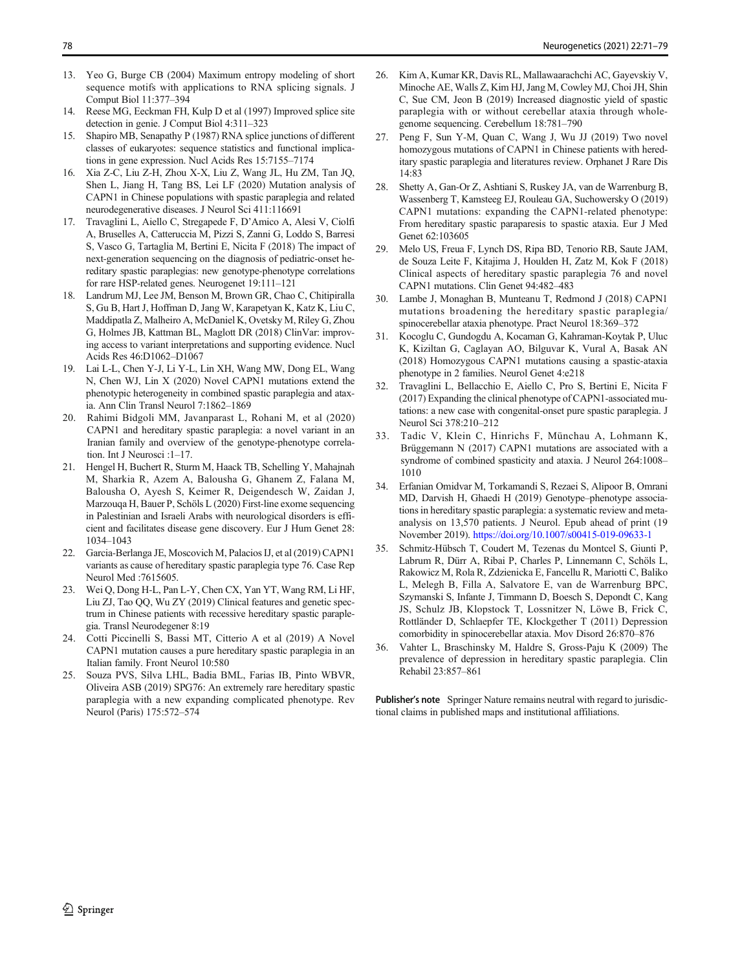- <span id="page-7-0"></span>13. Yeo G, Burge CB (2004) Maximum entropy modeling of short sequence motifs with applications to RNA splicing signals. J Comput Biol 11:377–394
- 14. Reese MG, Eeckman FH, Kulp D et al (1997) Improved splice site detection in genie. J Comput Biol 4:311–323
- 15. Shapiro MB, Senapathy P (1987) RNA splice junctions of different classes of eukaryotes: sequence statistics and functional implications in gene expression. Nucl Acids Res 15:7155–7174
- 16. Xia Z-C, Liu Z-H, Zhou X-X, Liu Z, Wang JL, Hu ZM, Tan JQ, Shen L, Jiang H, Tang BS, Lei LF (2020) Mutation analysis of CAPN1 in Chinese populations with spastic paraplegia and related neurodegenerative diseases. J Neurol Sci 411:116691
- 17. Travaglini L, Aiello C, Stregapede F, D'Amico A, Alesi V, Ciolfi A, Bruselles A, Catteruccia M, Pizzi S, Zanni G, Loddo S, Barresi S, Vasco G, Tartaglia M, Bertini E, Nicita F (2018) The impact of next-generation sequencing on the diagnosis of pediatric-onset hereditary spastic paraplegias: new genotype-phenotype correlations for rare HSP-related genes. Neurogenet 19:111–121
- 18. Landrum MJ, Lee JM, Benson M, Brown GR, Chao C, Chitipiralla S, Gu B, Hart J, Hoffman D, Jang W, Karapetyan K, Katz K, Liu C, Maddipatla Z, Malheiro A, McDaniel K, Ovetsky M, Riley G, Zhou G, Holmes JB, Kattman BL, Maglott DR (2018) ClinVar: improving access to variant interpretations and supporting evidence. Nucl Acids Res 46:D1062–D1067
- 19. Lai L-L, Chen Y-J, Li Y-L, Lin XH, Wang MW, Dong EL, Wang N, Chen WJ, Lin X (2020) Novel CAPN1 mutations extend the phenotypic heterogeneity in combined spastic paraplegia and ataxia. Ann Clin Transl Neurol 7:1862–1869
- 20. Rahimi Bidgoli MM, Javanparast L, Rohani M, et al (2020) CAPN1 and hereditary spastic paraplegia: a novel variant in an Iranian family and overview of the genotype-phenotype correlation. Int J Neurosci :1–17.
- 21. Hengel H, Buchert R, Sturm M, Haack TB, Schelling Y, Mahajnah M, Sharkia R, Azem A, Balousha G, Ghanem Z, Falana M, Balousha O, Ayesh S, Keimer R, Deigendesch W, Zaidan J, Marzouqa H, Bauer P, Schöls L (2020) First-line exome sequencing in Palestinian and Israeli Arabs with neurological disorders is efficient and facilitates disease gene discovery. Eur J Hum Genet 28: 1034–1043
- 22. Garcia-Berlanga JE, Moscovich M, Palacios IJ, et al (2019) CAPN1 variants as cause of hereditary spastic paraplegia type 76. Case Rep Neurol Med :7615605.
- 23. Wei Q, Dong H-L, Pan L-Y, Chen CX, Yan YT, Wang RM, Li HF, Liu ZJ, Tao QQ, Wu ZY (2019) Clinical features and genetic spectrum in Chinese patients with recessive hereditary spastic paraplegia. Transl Neurodegener 8:19
- 24. Cotti Piccinelli S, Bassi MT, Citterio A et al (2019) A Novel CAPN1 mutation causes a pure hereditary spastic paraplegia in an Italian family. Front Neurol 10:580
- 25. Souza PVS, Silva LHL, Badia BML, Farias IB, Pinto WBVR, Oliveira ASB (2019) SPG76: An extremely rare hereditary spastic paraplegia with a new expanding complicated phenotype. Rev Neurol (Paris) 175:572–574
- 26. Kim A, Kumar KR, Davis RL, Mallawaarachchi AC, Gayevskiy V, Minoche AE, Walls Z, Kim HJ, Jang M, Cowley MJ, Choi JH, Shin C, Sue CM, Jeon B (2019) Increased diagnostic yield of spastic paraplegia with or without cerebellar ataxia through wholegenome sequencing. Cerebellum 18:781–790
- 27. Peng F, Sun Y-M, Quan C, Wang J, Wu JJ (2019) Two novel homozygous mutations of CAPN1 in Chinese patients with hereditary spastic paraplegia and literatures review. Orphanet J Rare Dis 14:83
- 28. Shetty A, Gan-Or Z, Ashtiani S, Ruskey JA, van de Warrenburg B, Wassenberg T, Kamsteeg EJ, Rouleau GA, Suchowersky O (2019) CAPN1 mutations: expanding the CAPN1-related phenotype: From hereditary spastic paraparesis to spastic ataxia. Eur J Med Genet 62:103605
- 29. Melo US, Freua F, Lynch DS, Ripa BD, Tenorio RB, Saute JAM, de Souza Leite F, Kitajima J, Houlden H, Zatz M, Kok F (2018) Clinical aspects of hereditary spastic paraplegia 76 and novel CAPN1 mutations. Clin Genet 94:482–483
- 30. Lambe J, Monaghan B, Munteanu T, Redmond J (2018) CAPN1 mutations broadening the hereditary spastic paraplegia/ spinocerebellar ataxia phenotype. Pract Neurol 18:369–372
- 31. Kocoglu C, Gundogdu A, Kocaman G, Kahraman-Koytak P, Uluc K, Kiziltan G, Caglayan AO, Bilguvar K, Vural A, Basak AN (2018) Homozygous CAPN1 mutations causing a spastic-ataxia phenotype in 2 families. Neurol Genet 4:e218
- 32. Travaglini L, Bellacchio E, Aiello C, Pro S, Bertini E, Nicita F (2017) Expanding the clinical phenotype of CAPN1-associated mutations: a new case with congenital-onset pure spastic paraplegia. J Neurol Sci 378:210–212
- 33. Tadic V, Klein C, Hinrichs F, Münchau A, Lohmann K, Brüggemann N (2017) CAPN1 mutations are associated with a syndrome of combined spasticity and ataxia. J Neurol 264:1008– 1010
- 34. Erfanian Omidvar M, Torkamandi S, Rezaei S, Alipoor B, Omrani MD, Darvish H, Ghaedi H (2019) Genotype–phenotype associations in hereditary spastic paraplegia: a systematic review and metaanalysis on 13,570 patients. J Neurol. Epub ahead of print (19 November 2019). <https://doi.org/10.1007/s00415-019-09633-1>
- 35. Schmitz-Hübsch T, Coudert M, Tezenas du Montcel S, Giunti P, Labrum R, Dürr A, Ribai P, Charles P, Linnemann C, Schöls L, Rakowicz M, Rola R, Zdzienicka E, Fancellu R, Mariotti C, Baliko L, Melegh B, Filla A, Salvatore E, van de Warrenburg BPC, Szymanski S, Infante J, Timmann D, Boesch S, Depondt C, Kang JS, Schulz JB, Klopstock T, Lossnitzer N, Löwe B, Frick C, Rottländer D, Schlaepfer TE, Klockgether T (2011) Depression comorbidity in spinocerebellar ataxia. Mov Disord 26:870–876
- 36. Vahter L, Braschinsky M, Haldre S, Gross-Paju K (2009) The prevalence of depression in hereditary spastic paraplegia. Clin Rehabil 23:857–861

Publisher's note Springer Nature remains neutral with regard to jurisdictional claims in published maps and institutional affiliations.